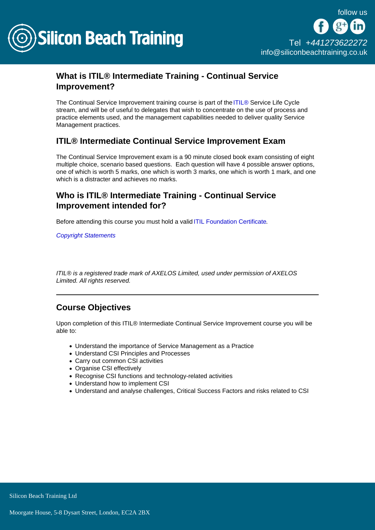

# What is ITIL® Intermediate Training - Continual Service Improvement?

The Continual Service Improvement training course is part of the [ITIL®](/itil-training) Service Life Cycle stream, and will be of useful to delegates that wish to concentrate on the use of process and practice elements used, and the management capabilities needed to deliver quality Service Management practices.

# ITIL® Intermediate Continual Service Improvement Exam

The Continual Service Improvement exam is a 90 minute closed book exam consisting of eight multiple choice, scenario based questions. Each question will have 4 possible answer options, one of which is worth 5 marks, one which is worth 3 marks, one which is worth 1 mark, and one which is a distracter and achieves no marks.

# Who is ITIL® Intermediate Training - Continual Service Improvement intended for?

Before attending this course you must hold a valid [ITIL Foundation Certificate.](/itil-training/itil-foundation-training)

[Copyright Statements](/copyright-statements)

ITIL® is a registered trade mark of AXELOS Limited, used under permission of AXELOS Limited. All rights reserved.

# Course Objectives

Upon completion of this ITIL® Intermediate Continual Service Improvement course you will be able to:

- Understand the importance of Service Management as a Practice
- Understand CSI Principles and Processes
- Carry out common CSI activities
- Organise CSI effectively
- Recognise CSI functions and technology-related activities
- Understand how to implement CSI
- Understand and analyse challenges, Critical Success Factors and risks related to CSI